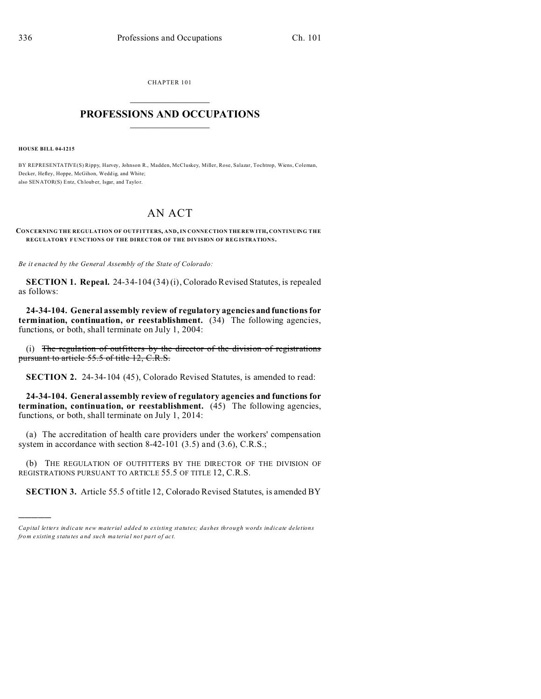CHAPTER 101  $\overline{\phantom{a}}$  , where  $\overline{\phantom{a}}$ 

## **PROFESSIONS AND OCCUPATIONS**  $\frac{1}{2}$  ,  $\frac{1}{2}$  ,  $\frac{1}{2}$  ,  $\frac{1}{2}$  ,  $\frac{1}{2}$  ,  $\frac{1}{2}$  ,  $\frac{1}{2}$

**HOUSE BILL 04-1215**

)))))

BY REPRESENTATIVE(S) Rippy, Harvey, Johnson R., Madden, McCluskey, Miller, Rose, Salazar, Tochtrop, Wiens, Coleman, Decker, Hefley, Hoppe, McGihon, Wedd ig, and White; also SENATOR(S) Entz, Ch loub er, Isgar, and Taylo r.

## AN ACT

**CONCERNING THE REGULATION OF OUTFITTERS, AND, IN CONNE CTION THE REW ITH, CONTINUING THE REGULATORY F UNCTIONS OF THE DIRECTOR OF THE DIVISION OF REG ISTRATIONS.**

*Be it enacted by the General Assembly of the State of Colorado:*

**SECTION 1. Repeal.** 24-34-104 (34) (i), Colorado Revised Statutes, is repealed as follows:

**24-34-104. General assembly review of regulatory agencies and functions for termination, continuation, or reestablishment.** (34) The following agencies, functions, or both, shall terminate on July 1, 2004:

(i) The regulation of outfitters by the director of the division of registrations pursuant to article 55.5 of title 12, C.R.S.

**SECTION 2.** 24-34-104 (45), Colorado Revised Statutes, is amended to read:

**24-34-104. General assembly review of regulatory agencies and functions for termination, continuation, or reestablishment.** (45) The following agencies, functions, or both, shall terminate on July 1, 2014:

(a) The accreditation of health care providers under the workers' compensation system in accordance with section 8-42-101 (3.5) and (3.6), C.R.S.;

(b) THE REGULATION OF OUTFITTERS BY THE DIRECTOR OF THE DIVISION OF REGISTRATIONS PURSUANT TO ARTICLE 55.5 OF TITLE 12, C.R.S.

**SECTION 3.** Article 55.5 of title 12, Colorado Revised Statutes, is amended BY

*Capital letters indicate new material added to existing statutes; dashes through words indicate deletions from e xistin g statu tes a nd such ma teria l no t pa rt of ac t.*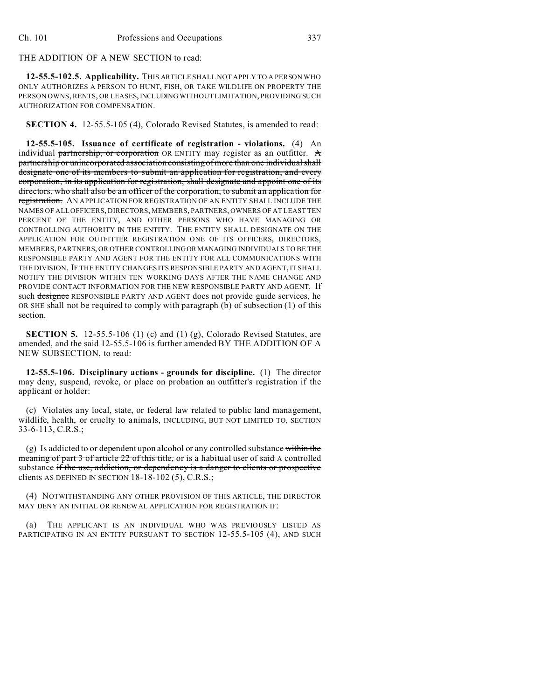THE ADDITION OF A NEW SECTION to read:

**12-55.5-102.5. Applicability.** THIS ARTICLE SHALL NOT APPLY TO A PERSON WHO ONLY AUTHORIZES A PERSON TO HUNT, FISH, OR TAKE WILDLIFE ON PROPERTY THE PERSON OWNS, RENTS, OR LEASES, INCLUDING WITHOUT LIMITATION, PROVIDING SUCH AUTHORIZATION FOR COMPENSATION.

**SECTION 4.** 12-55.5-105 (4), Colorado Revised Statutes, is amended to read:

**12-55.5-105. Issuance of certificate of registration - violations.** (4) An individual partnership, or corporation OR ENTITY may register as an outfitter.  $\mathbf A$ partnership or unincorporated association consisting of more than one individual shall designate one of its members to submit an application for registration, and every corporation, in its application for registration, shall designate and appoint one of its directors, who shall also be an officer of the corporation, to submit an application for registration. AN APPLICATION FOR REGISTRATION OF AN ENTITY SHALL INCLUDE THE NAMES OF ALL OFFICERS, DIRECTORS, MEMBERS, PARTNERS, OWNERS OF AT LEAST TEN PERCENT OF THE ENTITY, AND OTHER PERSONS WHO HAVE MANAGING OR CONTROLLING AUTHORITY IN THE ENTITY. THE ENTITY SHALL DESIGNATE ON THE APPLICATION FOR OUTFITTER REGISTRATION ONE OF ITS OFFICERS, DIRECTORS, MEMBERS, PARTNERS, OR OTHER CONTROLLINGORMANAGING INDIVIDUALS TO BE THE RESPONSIBLE PARTY AND AGENT FOR THE ENTITY FOR ALL COMMUNICATIONS WITH THE DIVISION. IF THE ENTITY CHANGES ITS RESPONSIBLE PARTY AND AGENT, IT SHALL NOTIFY THE DIVISION WITHIN TEN WORKING DAYS AFTER THE NAME CHANGE AND PROVIDE CONTACT INFORMATION FOR THE NEW RESPONSIBLE PARTY AND AGENT. If such designee RESPONSIBLE PARTY AND AGENT does not provide guide services, he OR SHE shall not be required to comply with paragraph (b) of subsection (1) of this section.

**SECTION 5.** 12-55.5-106 (1) (c) and (1) (g), Colorado Revised Statutes, are amended, and the said 12-55.5-106 is further amended BY THE ADDITION OF A NEW SUBSECTION, to read:

**12-55.5-106. Disciplinary actions - grounds for discipline.** (1) The director may deny, suspend, revoke, or place on probation an outfitter's registration if the applicant or holder:

(c) Violates any local, state, or federal law related to public land management, wildlife, health, or cruelty to animals, INCLUDING, BUT NOT LIMITED TO, SECTION 33-6-113, C.R.S.;

(g) Is addicted to or dependent upon alcohol or any controlled substance within the meaning of part 3 of article 22 of this title, or is a habitual user of said A controlled substance if the use, addiction, or dependency is a danger to clients or prospective clients AS DEFINED IN SECTION  $18-18-102$  (5), C.R.S.;

(4) NOTWITHSTANDING ANY OTHER PROVISION OF THIS ARTICLE, THE DIRECTOR MAY DENY AN INITIAL OR RENEWAL APPLICATION FOR REGISTRATION IF:

(a) THE APPLICANT IS AN INDIVIDUAL WHO WAS PREVIOUSLY LISTED AS PARTICIPATING IN AN ENTITY PURSUANT TO SECTION 12-55.5-105 (4), AND SUCH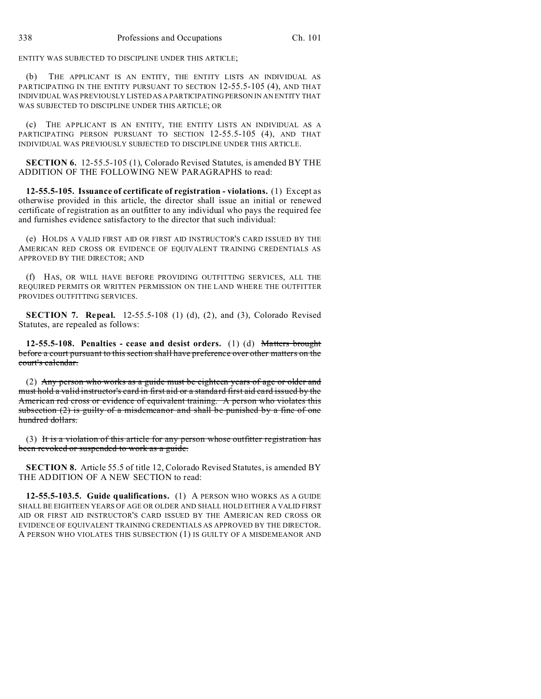ENTITY WAS SUBJECTED TO DISCIPLINE UNDER THIS ARTICLE;

(b) THE APPLICANT IS AN ENTITY, THE ENTITY LISTS AN INDIVIDUAL AS PARTICIPATING IN THE ENTITY PURSUANT TO SECTION 12-55.5-105 (4), AND THAT INDIVIDUAL WAS PREVIOUSLY LISTED AS A PARTICIPATING PERSON IN AN ENTITY THAT WAS SUBJECTED TO DISCIPLINE UNDER THIS ARTICLE; OR

(c) THE APPLICANT IS AN ENTITY, THE ENTITY LISTS AN INDIVIDUAL AS A PARTICIPATING PERSON PURSUANT TO SECTION 12-55.5-105 (4), AND THAT INDIVIDUAL WAS PREVIOUSLY SUBJECTED TO DISCIPLINE UNDER THIS ARTICLE.

**SECTION 6.** 12-55.5-105 (1), Colorado Revised Statutes, is amended BY THE ADDITION OF THE FOLLOWING NEW PARAGRAPHS to read:

**12-55.5-105. Issuance of certificate of registration - violations.** (1) Except as otherwise provided in this article, the director shall issue an initial or renewed certificate of registration as an outfitter to any individual who pays the required fee and furnishes evidence satisfactory to the director that such individual:

(e) HOLDS A VALID FIRST AID OR FIRST AID INSTRUCTOR'S CARD ISSUED BY THE AMERICAN RED CROSS OR EVIDENCE OF EQUIVALENT TRAINING CREDENTIALS AS APPROVED BY THE DIRECTOR; AND

(f) HAS, OR WILL HAVE BEFORE PROVIDING OUTFITTING SERVICES, ALL THE REQUIRED PERMITS OR WRITTEN PERMISSION ON THE LAND WHERE THE OUTFITTER PROVIDES OUTFITTING SERVICES.

**SECTION 7. Repeal.** 12-55.5-108 (1) (d), (2), and (3), Colorado Revised Statutes, are repealed as follows:

**12-55.5-108. Penalties - cease and desist orders.** (1) (d) Matters brought before a court pursuant to this section shall have preference over other matters on the court's calendar.

(2) Any person who works as a guide must be eighteen years of age or older and must hold a valid instructor's card in first aid or a standard first aid card issued by the American red cross or evidence of equivalent training. A person who violates this subsection  $(2)$  is guilty of a misdemeanor and shall be punished by a fine of one hundred dollars.

(3) It is a violation of this article for any person whose outfitter registration has been revoked or suspended to work as a guide.

**SECTION 8.** Article 55.5 of title 12, Colorado Revised Statutes, is amended BY THE ADDITION OF A NEW SECTION to read:

**12-55.5-103.5. Guide qualifications.** (1) A PERSON WHO WORKS AS A GUIDE SHALL BE EIGHTEEN YEARS OF AGE OR OLDER AND SHALL HOLD EITHER A VALID FIRST AID OR FIRST AID INSTRUCTOR'S CARD ISSUED BY THE AMERICAN RED CROSS OR EVIDENCE OF EQUIVALENT TRAINING CREDENTIALS AS APPROVED BY THE DIRECTOR. A PERSON WHO VIOLATES THIS SUBSECTION (1) IS GUILTY OF A MISDEMEANOR AND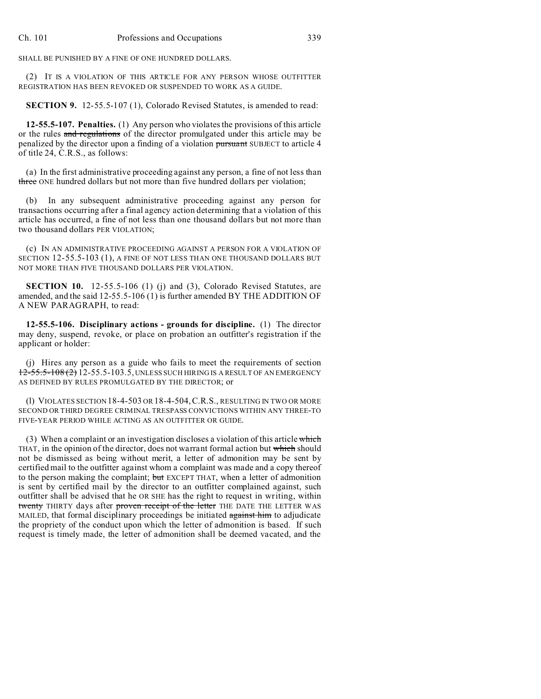SHALL BE PUNISHED BY A FINE OF ONE HUNDRED DOLLARS.

(2) IT IS A VIOLATION OF THIS ARTICLE FOR ANY PERSON WHOSE OUTFITTER REGISTRATION HAS BEEN REVOKED OR SUSPENDED TO WORK AS A GUIDE.

**SECTION 9.** 12-55.5-107 (1), Colorado Revised Statutes, is amended to read:

**12-55.5-107. Penalties.** (1) Any person who violates the provisions of this article or the rules and regulations of the director promulgated under this article may be penalized by the director upon a finding of a violation pursuant SUBJECT to article 4 of title 24, C.R.S., as follows:

(a) In the first administrative proceeding against any person, a fine of not less than three ONE hundred dollars but not more than five hundred dollars per violation;

(b) In any subsequent administrative proceeding against any person for transactions occurring after a final agency action determining that a violation of this article has occurred, a fine of not less than one thousand dollars but not more than two thousand dollars PER VIOLATION;

(c) IN AN ADMINISTRATIVE PROCEEDING AGAINST A PERSON FOR A VIOLATION OF SECTION 12-55.5-103 (1), A FINE OF NOT LESS THAN ONE THOUSAND DOLLARS BUT NOT MORE THAN FIVE THOUSAND DOLLARS PER VIOLATION.

**SECTION 10.** 12-55.5-106 (1) (j) and (3), Colorado Revised Statutes, are amended, and the said 12-55.5-106 (1) is further amended BY THE ADDITION OF A NEW PARAGRAPH, to read:

**12-55.5-106. Disciplinary actions - grounds for discipline.** (1) The director may deny, suspend, revoke, or place on probation an outfitter's registration if the applicant or holder:

(j) Hires any person as a guide who fails to meet the requirements of section 12-55.5-108 (2) 12-55.5-103.5, UNLESS SUCH HIRING IS A RESULT OF AN EMERGENCY AS DEFINED BY RULES PROMULGATED BY THE DIRECTOR; or

(l) VIOLATES SECTION 18-4-503 OR 18-4-504,C.R.S., RESULTING IN TWO OR MORE SECOND OR THIRD DEGREE CRIMINAL TRESPASS CONVICTIONS WITHIN ANY THREE-TO FIVE-YEAR PERIOD WHILE ACTING AS AN OUTFITTER OR GUIDE.

(3) When a complaint or an investigation discloses a violation of this article which THAT, in the opinion of the director, does not warrant formal action but which should not be dismissed as being without merit, a letter of admonition may be sent by certified mail to the outfitter against whom a complaint was made and a copy thereof to the person making the complaint; but EXCEPT THAT, when a letter of admonition is sent by certified mail by the director to an outfitter complained against, such outfitter shall be advised that he OR SHE has the right to request in writing, within twenty THIRTY days after proven receipt of the letter THE DATE THE LETTER WAS MAILED, that formal disciplinary proceedings be initiated against him to adjudicate the propriety of the conduct upon which the letter of admonition is based. If such request is timely made, the letter of admonition shall be deemed vacated, and the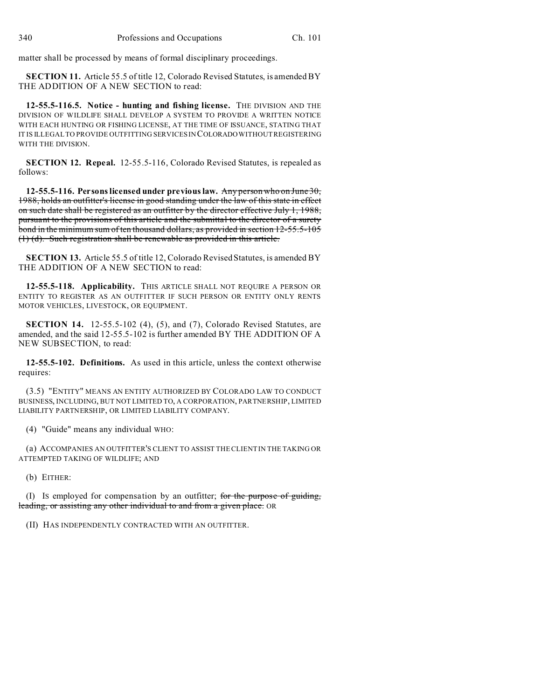matter shall be processed by means of formal disciplinary proceedings.

**SECTION 11.** Article 55.5 of title 12, Colorado Revised Statutes, is amended BY THE ADDITION OF A NEW SECTION to read:

**12-55.5-116.5. Notice - hunting and fishing license.** THE DIVISION AND THE DIVISION OF WILDLIFE SHALL DEVELOP A SYSTEM TO PROVIDE A WRITTEN NOTICE WITH EACH HUNTING OR FISHING LICENSE, AT THE TIME OF ISSUANCE, STATING THAT IT IS ILLEGAL TO PROVIDE OUTFITTING SERVICES IN COLORADO WITHOUT REGISTERING WITH THE DIVISION.

**SECTION 12. Repeal.** 12-55.5-116, Colorado Revised Statutes, is repealed as follows:

**12-55.5-116. Persons licensed under previous law.** Any person who on June 30, 1988, holds an outfitter's license in good standing under the law of this state in effect on such date shall be registered as an outfitter by the director effective July 1, 1988, pursuant to the provisions of this article and the submittal to the director of a surety bond in the minimum sum of ten thousand dollars, as provided in section 12-55.5-105 (1) (d). Such registration shall be renewable as provided in this article.

**SECTION 13.** Article 55.5 of title 12, Colorado Revised Statutes, is amended BY THE ADDITION OF A NEW SECTION to read:

**12-55.5-118. Applicability.** THIS ARTICLE SHALL NOT REQUIRE A PERSON OR ENTITY TO REGISTER AS AN OUTFITTER IF SUCH PERSON OR ENTITY ONLY RENTS MOTOR VEHICLES, LIVESTOCK, OR EQUIPMENT.

**SECTION 14.** 12-55.5-102 (4), (5), and (7), Colorado Revised Statutes, are amended, and the said 12-55.5-102 is further amended BY THE ADDITION OF A NEW SUBSECTION, to read:

**12-55.5-102. Definitions.** As used in this article, unless the context otherwise requires:

(3.5) "ENTITY" MEANS AN ENTITY AUTHORIZED BY COLORADO LAW TO CONDUCT BUSINESS, INCLUDING, BUT NOT LIMITED TO, A CORPORATION, PARTNERSHIP, LIMITED LIABILITY PARTNERSHIP, OR LIMITED LIABILITY COMPANY.

(4) "Guide" means any individual WHO:

(a) ACCOMPANIES AN OUTFITTER'S CLIENT TO ASSIST THE CLIENT IN THE TAKING OR ATTEMPTED TAKING OF WILDLIFE; AND

(b) EITHER:

(I) IS employed for compensation by an outfitter; for the purpose of guiding, leading, or assisting any other individual to and from a given place. OR

(II) HAS INDEPENDENTLY CONTRACTED WITH AN OUTFITTER.